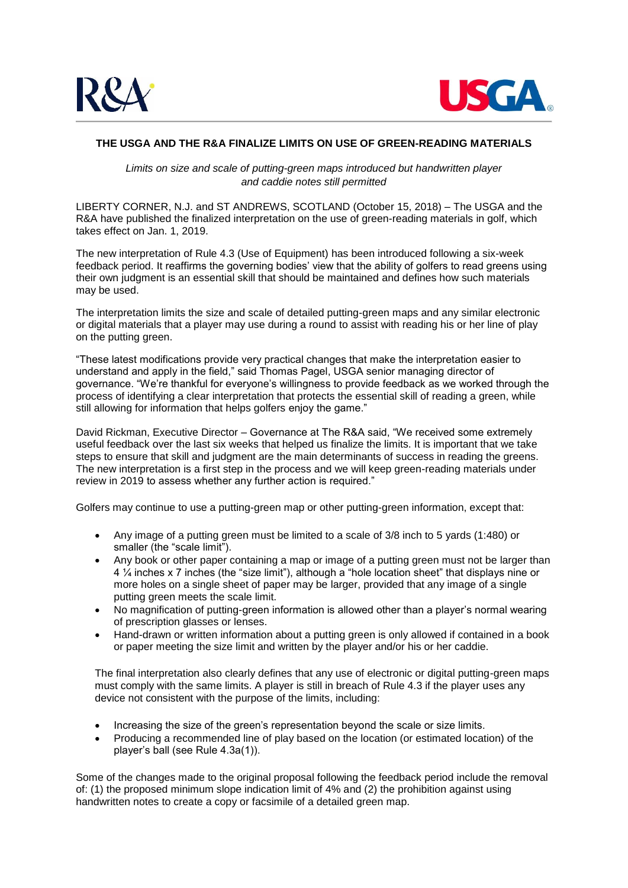



## **THE USGA AND THE R&A FINALIZE LIMITS ON USE OF GREEN-READING MATERIALS**

*Limits on size and scale of putting-green maps introduced but handwritten player and caddie notes still permitted*

LIBERTY CORNER, N.J. and ST ANDREWS, SCOTLAND (October 15, 2018) – The USGA and the R&A have published the finalized interpretation on the use of green-reading materials in golf, which takes effect on Jan. 1, 2019.

The new interpretation of Rule 4.3 (Use of Equipment) has been introduced following a six-week feedback period. It reaffirms the governing bodies' view that the ability of golfers to read greens using their own judgment is an essential skill that should be maintained and defines how such materials may be used.

The interpretation limits the size and scale of detailed putting-green maps and any similar electronic or digital materials that a player may use during a round to assist with reading his or her line of play on the putting green.

"These latest modifications provide very practical changes that make the interpretation easier to understand and apply in the field," said Thomas Pagel, USGA senior managing director of governance. "We're thankful for everyone's willingness to provide feedback as we worked through the process of identifying a clear interpretation that protects the essential skill of reading a green, while still allowing for information that helps golfers enjoy the game."

David Rickman, Executive Director – Governance at The R&A said, "We received some extremely useful feedback over the last six weeks that helped us finalize the limits. It is important that we take steps to ensure that skill and judgment are the main determinants of success in reading the greens. The new interpretation is a first step in the process and we will keep green-reading materials under review in 2019 to assess whether any further action is required."

Golfers may continue to use a putting-green map or other putting-green information, except that:

- Any image of a putting green must be limited to a scale of 3/8 inch to 5 yards (1:480) or smaller (the "scale limit").
- Any book or other paper containing a map or image of a putting green must not be larger than 4 ¼ inches x 7 inches (the "size limit"), although a "hole location sheet" that displays nine or more holes on a single sheet of paper may be larger, provided that any image of a single putting green meets the scale limit.
- No magnification of putting-green information is allowed other than a player's normal wearing of prescription glasses or lenses.
- Hand-drawn or written information about a putting green is only allowed if contained in a book or paper meeting the size limit and written by the player and/or his or her caddie.

The final interpretation also clearly defines that any use of electronic or digital putting-green maps must comply with the same limits. A player is still in breach of Rule 4.3 if the player uses any device not consistent with the purpose of the limits, including:

- Increasing the size of the green's representation beyond the scale or size limits.
- Producing a recommended line of play based on the location (or estimated location) of the player's ball (see Rule 4.3a(1)).

Some of the changes made to the original proposal following the feedback period include the removal of: (1) the proposed minimum slope indication limit of 4% and (2) the prohibition against using handwritten notes to create a copy or facsimile of a detailed green map.